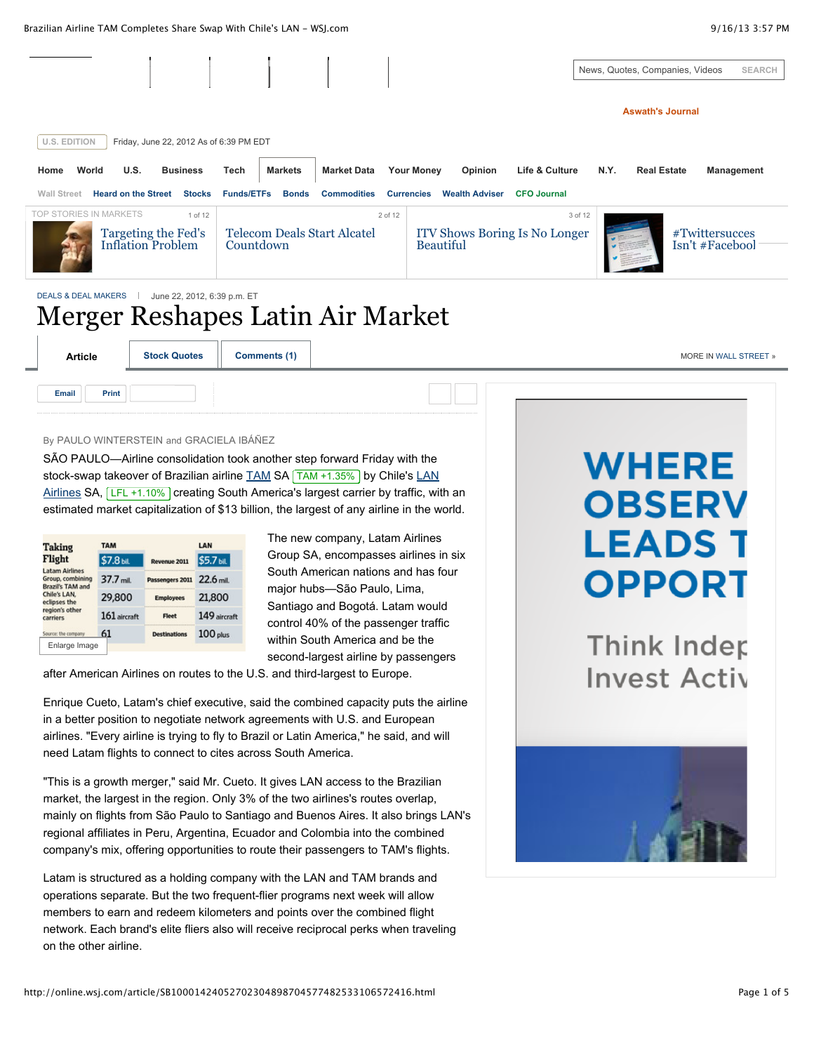Brazilian Airline TAM Completes Share Swap With Chile's LAN - WSJ.com **1999 18:57 PM** 9/16/13 3:57 PM

|                                                                                                   |                                    |                |                                        |                                                          | News, Quotes, Companies, Videos              | <b>SEARCH</b>                     |  |  |  |
|---------------------------------------------------------------------------------------------------|------------------------------------|----------------|----------------------------------------|----------------------------------------------------------|----------------------------------------------|-----------------------------------|--|--|--|
|                                                                                                   |                                    |                |                                        |                                                          | <b>Aswath's Journal</b>                      |                                   |  |  |  |
| <b>U.S. EDITION</b><br>Friday, June 22, 2012 As of 6:39 PM EDT                                    |                                    |                |                                        |                                                          |                                              |                                   |  |  |  |
| World<br>U.S.<br>Home                                                                             | <b>Business</b><br>Tech            | <b>Markets</b> | <b>Market Data</b>                     | <b>Your Money</b><br>Opinion                             | Life & Culture<br>N.Y.<br><b>Real Estate</b> | Management                        |  |  |  |
| <b>Heard on the Street</b><br><b>Wall Street</b>                                                  | <b>Stocks</b><br><b>Funds/ETFs</b> | <b>Bonds</b>   | <b>Commodities</b>                     | <b>Wealth Adviser</b><br><b>Currencies</b>               | <b>CFO Journal</b>                           |                                   |  |  |  |
| TOP STORIES IN MARKETS<br>Targeting the Fed's<br><b>Inflation Problem</b>                         | 1 of 12                            | Countdown      | 2 of 12<br>Telecom Deals Start Alcatel | <b>ITV Shows Boring Is No Longer</b><br><b>Beautiful</b> | 3 of 12                                      | #Twittersucces<br>Isn't #Facebool |  |  |  |
| <b>DEALS &amp; DEAL MAKERS</b><br>June 22, 2012, 6:39 p.m. ET<br>Merger Reshapes Latin Air Market |                                    |                |                                        |                                                          |                                              |                                   |  |  |  |
| <b>Article</b><br><b>Stock Quotes</b>                                                             |                                    | Comments (1)   |                                        |                                                          |                                              | MORE IN WALL STREET »             |  |  |  |

# By PAULO WINTERSTEIN and GRACIELA IBÁÑEZ

**[Email](http://online.wsj.com/article/SB10001424052702304898704577482533106572416.html#) [Print](http://online.wsj.com/article/SB10001424052702304898704577482533106572416.html#)**

SÃO PAULO—Airline consolidation took another step forward Friday with the [stock-swap takeover of Brazilian airline](http://online.wsj.com/public/quotes/main.html?type=djn&symbol=LFL) **[TAM](http://online.wsj.com/public/quotes/main.html?type=djn&symbol=TAM) SA** TAM [+1.35%](http://online.wsj.com/public/quotes/main.html?type=djn&symbol=TAM?mod=inlineTicker) by Chile's LAN Airlines SA,  $LEL + 1.10\%$  creating South America's largest carrier by traffic, with an estimated market capitalization of \$13 billion, the largest of any airline in the world.

| <b>Taking</b>                                                        | <b>TAM</b>     |                                                            | LAN          |  |
|----------------------------------------------------------------------|----------------|------------------------------------------------------------|--------------|--|
| Flight                                                               | \$7.8 bil.     | Revenue 2011                                               | \$5.7 bil.   |  |
| <b>Latam Airlines</b><br>Group, combining<br><b>Brazil's TAM and</b> | 37.7 mil.      | Passengers 2011                                            | $22.6$ mil.  |  |
| Chile's LAN.<br>eclipses the                                         | 29,800         | <b>Employees</b>                                           | 21,800       |  |
| region's other<br>carriers                                           | $161$ aircraft | Fleet                                                      | 149 aircraft |  |
| Source: the company                                                  | 61             | ,,,,,,,,,,,,,,,,,,,,,,,,,,,,,,,,,,,<br><b>Destinations</b> | 100 plus     |  |
| Enlarge Image                                                        |                |                                                            |              |  |

The new company, Latam Airlines Group SA, encompasses airlines in six South American nations and has four major hubs—São Paulo, Lima, Santiago and Bogotá. Latam would control 40% of the passenger traffic within South America and be the second-largest airline by passengers

after American Airlines on routes to the U.S. and third-largest to Europe.

Enrique Cueto, Latam's chief executive, said the combined capacity puts the airline in a better position to negotiate network agreements with U.S. and European airlines. "Every airline is trying to fly to Brazil or Latin America," he said, and will need Latam flights to connect to cites across South America.

"This is a growth merger," said Mr. Cueto. It gives LAN access to the Brazilian market, the largest in the region. Only 3% of the two airlines's routes overlap, mainly on flights from São Paulo to Santiago and Buenos Aires. It also brings LAN's regional affiliates in Peru, Argentina, Ecuador and Colombia into the combined company's mix, offering opportunities to route their passengers to TAM's flights.

Latam is structured as a holding company with the LAN and TAM brands and operations separate. But the two frequent-flier programs next week will allow members to earn and redeem kilometers and points over the combined flight network. Each brand's elite fliers also will receive reciprocal perks when traveling on the other airline.

# **WHERE OBSERV LEADS T OPPORT**

**Think Inder Invest Activ** 

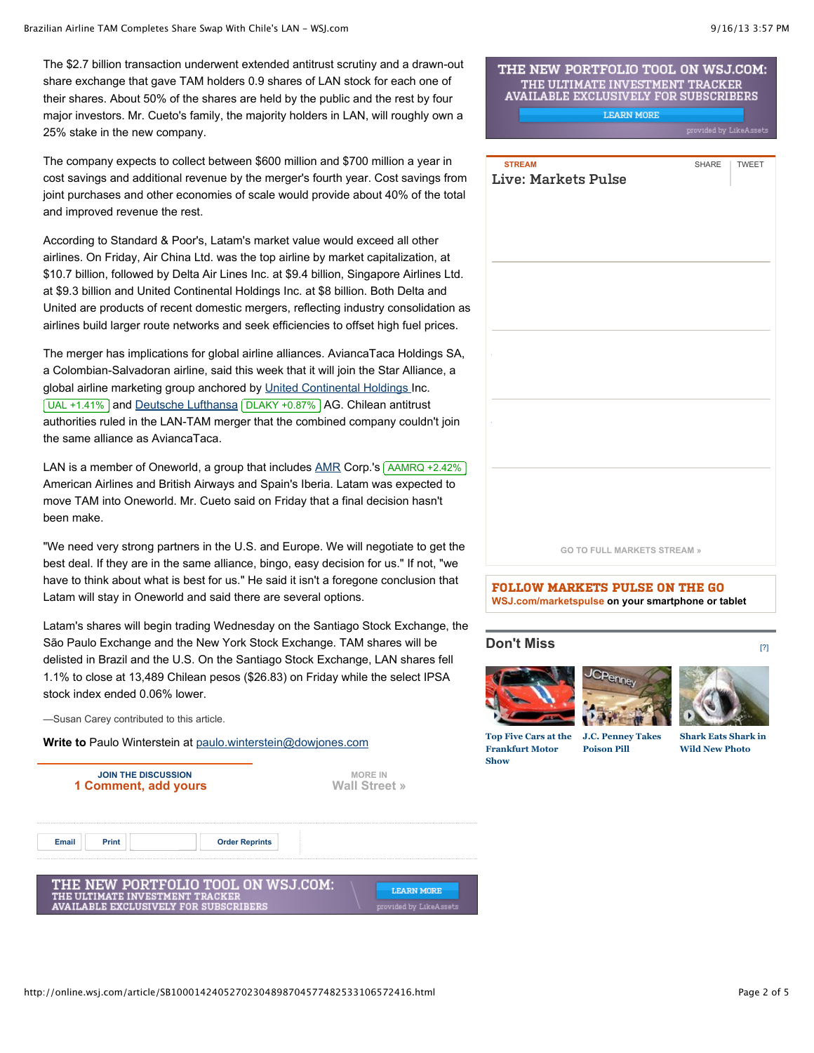The \$2.7 billion transaction underwent extended antitrust scrutiny and a drawn-out share exchange that gave TAM holders 0.9 shares of LAN stock for each one of their shares. About 50% of the shares are held by the public and the rest by four major investors. Mr. Cueto's family, the majority holders in LAN, will roughly own a 25% stake in the new company.

The company expects to collect between \$600 million and \$700 million a year in cost savings and additional revenue by the merger's fourth year. Cost savings from joint purchases and other economies of scale would provide about 40% of the total and improved revenue the rest.

According to Standard & Poor's, Latam's market value would exceed all other airlines. On Friday, Air China Ltd. was the top airline by market capitalization, at \$10.7 billion, followed by Delta Air Lines Inc. at \$9.4 billion, Singapore Airlines Ltd. at \$9.3 billion and United Continental Holdings Inc. at \$8 billion. Both Delta and United are products of recent domestic mergers, reflecting industry consolidation as airlines build larger route networks and seek efficiencies to offset high fuel prices.

The merger has implications for global airline alliances. AviancaTaca Holdings SA, a Colombian-Salvadoran airline, said this week that it will join the Star Alliance, a global airline marketing group anchored by [United Continental Holdings I](http://online.wsj.com/public/quotes/main.html?type=djn&symbol=UAL)nc. UAL [+1.41%](http://online.wsj.com/public/quotes/main.html?type=djn&symbol=UAL?mod=inlineTicker) and [Deutsche Lufthansa](http://online.wsj.com/public/quotes/main.html?type=djn&symbol=dlaky) DLAKY [+0.87%](http://online.wsj.com/public/quotes/main.html?type=djn&symbol=DLAKY?mod=inlineTicker) AG. Chilean antitrust authorities ruled in the LAN-TAM merger that the combined company couldn't join the same alliance as AviancaTaca.

LAN is a member of Oneworld, a group that includes  $\triangle MR$  Corp.'s  $\triangle AMRQ + 2.42\%$ American Airlines and British Airways and Spain's Iberia. Latam was expected to move TAM into Oneworld. Mr. Cueto said on Friday that a final decision hasn't been make.

"We need very strong partners in the U.S. and Europe. We will negotiate to get the best deal. If they are in the same alliance, bingo, easy decision for us." If not, "we have to think about what is best for us." He said it isn't a foregone conclusion that Latam will stay in Oneworld and said there are several options.

Latam's shares will begin trading Wednesday on the Santiago Stock Exchange, the São Paulo Exchange and the New York Stock Exchange. TAM shares will be delisted in Brazil and the U.S. On the Santiago Stock Exchange, LAN shares fell 1.1% to close at 13,489 Chilean pesos (\$26.83) on Friday while the select IPSA stock index ended 0.06% lower.

—Susan Carey contributed to this article.

**Write to** Paulo Winterstein at [paulo.winterstein@dowjones.com](mailto:paulo.winterstein@dowjones.com)



# THE NEW PORTFOLIO TOOL ON WSJ.COM: THE ULTIMATE INVESTMENT TRACKER<br>AVAILABLE EXCLUSIVELY FOR SUBSCRIBERS

**LEARN MORE** 



**[GO TO FULL MARKETS STREAM »](http://stream.wsj.com/story/markets/SS-2-5/)**

**[FOLLOW MARKETS PULSE ON THE GO](http://stream.wsj.com/story/markets/SS-2-5/) WSJ.com/marketspulse on your smartphone or tablet**

# **Don't Miss**







[\[?\]](http://online.wsj.com/article/SB10001424052702304898704577482533106572416.html#)

**Top Five Cars at the Frankfurt Motor Show**

**J.C. Penney Takes Poison Pill**

**Shark Eats Shark in Wild New Photo**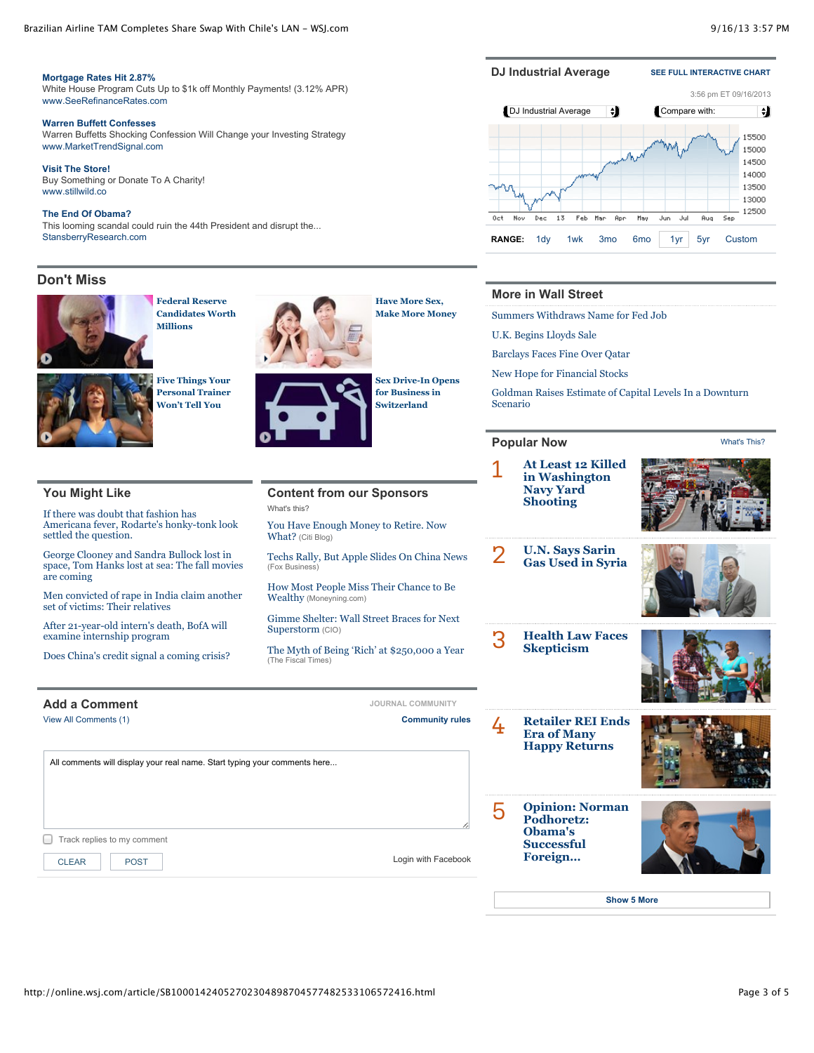#### Brazilian Airline TAM Completes Share Swap With Chile's LAN - WSJ.com **1999 18:57 PM** 9/16/13 3:57 PM

[What's This?](http://online.wsj.com/article/SB10001424052702304898704577482533106572416.html#)

#### **[Mortgage Rates Hit 2.87%](http://924661.r.msn.com/?ld=7vlPxywUayELXO1o0O2jtdMjVUCUxuDvAnPtY_0TgtsqzVDj-W-LNvDzq8fksiYvb2ewT1-uJnqCMsEkyBIzO3gW8MQpR_Yh7bbXTmWNIAOqGZMAWuyZUx0IgBLzXVXYjAReU2_A&u=https%3a%2f%2fwww.lowermybills.com%2flending%2fhome-refinance%2f%3fmoid%3d37624%26sourceid%3dseomsnconlre092910bf2223)**

[White House Program Cuts Up to \\$1k off Monthly Payments! \(3.12% APR\)](http://924661.r.msn.com/?ld=7vlPxywUayELXO1o0O2jtdMjVUCUxuDvAnPtY_0TgtsqzVDj-W-LNvDzq8fksiYvb2ewT1-uJnqCMsEkyBIzO3gW8MQpR_Yh7bbXTmWNIAOqGZMAWuyZUx0IgBLzXVXYjAReU2_A&u=https%3a%2f%2fwww.lowermybills.com%2flending%2fhome-refinance%2f%3fmoid%3d37624%26sourceid%3dseomsnconlre092910bf2223) [www.SeeRefinanceRates.com](http://924661.r.msn.com/?ld=7vlPxywUayELXO1o0O2jtdMjVUCUxuDvAnPtY_0TgtsqzVDj-W-LNvDzq8fksiYvb2ewT1-uJnqCMsEkyBIzO3gW8MQpR_Yh7bbXTmWNIAOqGZMAWuyZUx0IgBLzXVXYjAReU2_A&u=https%3a%2f%2fwww.lowermybills.com%2flending%2fhome-refinance%2f%3fmoid%3d37624%26sourceid%3dseomsnconlre092910bf2223)

#### **[Warren Buffett Confesses](http://789677.r.msn.com/?ld=7v__X8WmjbVCDyc9pnqQ6-9TVUCUzCcUbzRmGb9xkNNBH74KAZcji6Zj_wNZhu8xdyQJATYvhviMIzQV3VrHPfLVl3kEOQ4-lC5GJ0phtMIz8Z4yWi7nBEYNj5rZu7S-r-sJEKWw&u=www.markettrendsignal.com%2fsecure%2frc3.php%3fa%3dC-MSNBUFF%26p%3dMTS)**

[Warren Buffetts Shocking Confession Will Change your Investing Strategy](http://789677.r.msn.com/?ld=7v__X8WmjbVCDyc9pnqQ6-9TVUCUzCcUbzRmGb9xkNNBH74KAZcji6Zj_wNZhu8xdyQJATYvhviMIzQV3VrHPfLVl3kEOQ4-lC5GJ0phtMIz8Z4yWi7nBEYNj5rZu7S-r-sJEKWw&u=www.markettrendsignal.com%2fsecure%2frc3.php%3fa%3dC-MSNBUFF%26p%3dMTS) [www.MarketTrendSignal.com](http://789677.r.msn.com/?ld=7v__X8WmjbVCDyc9pnqQ6-9TVUCUzCcUbzRmGb9xkNNBH74KAZcji6Zj_wNZhu8xdyQJATYvhviMIzQV3VrHPfLVl3kEOQ4-lC5GJ0phtMIz8Z4yWi7nBEYNj5rZu7S-r-sJEKWw&u=www.markettrendsignal.com%2fsecure%2frc3.php%3fa%3dC-MSNBUFF%26p%3dMTS)

**[Visit The Store!](http://2317976.r.msn.com/?ld=7vNCPWqSRwb7G-GLShVLap7jVUCUyLXRR0JiNxyJVfLquyUS5x_b543JYqPq_TWZ37T7fR38aPUitMArhFStt8ok_nxklM4uFlzMCPwEfFCNWaPCxtTx-Tz50ixZych3Ce4Xj2qQ&u=www.stillwild.co)** [Buy Something or Donate To A Charity!](http://2317976.r.msn.com/?ld=7vNCPWqSRwb7G-GLShVLap7jVUCUyLXRR0JiNxyJVfLquyUS5x_b543JYqPq_TWZ37T7fR38aPUitMArhFStt8ok_nxklM4uFlzMCPwEfFCNWaPCxtTx-Tz50ixZych3Ce4Xj2qQ&u=www.stillwild.co) [www.stillwild.co](http://2317976.r.msn.com/?ld=7vNCPWqSRwb7G-GLShVLap7jVUCUyLXRR0JiNxyJVfLquyUS5x_b543JYqPq_TWZ37T7fR38aPUitMArhFStt8ok_nxklM4uFlzMCPwEfFCNWaPCxtTx-Tz50ixZych3Ce4Xj2qQ&u=www.stillwild.co)

#### **[The End Of Obama?](http://468140.r.msn.com/?ld=7vBzLADeB_auf31ol1zKxuvjVUCUw8T1-9rRAhKyoh75XX3MgZcZwur3tp-zEyzXUCj_9gEiFKZvXZbzKFouuEQ0cpCQ7PE0UUpG_NobpnmjUKLSAA0phpnHEN8LKxK2bFxxFEIA&u=mediaforceltd.go2jump.org%2faff_c%3foffer_id%3d195%26aff_id%3d1084%26url_id%3d149%26aff_sub%3demes1)**

[This looming scandal could ruin the 44th President and disrupt the...](http://468140.r.msn.com/?ld=7vBzLADeB_auf31ol1zKxuvjVUCUw8T1-9rRAhKyoh75XX3MgZcZwur3tp-zEyzXUCj_9gEiFKZvXZbzKFouuEQ0cpCQ7PE0UUpG_NobpnmjUKLSAA0phpnHEN8LKxK2bFxxFEIA&u=mediaforceltd.go2jump.org%2faff_c%3foffer_id%3d195%26aff_id%3d1084%26url_id%3d149%26aff_sub%3demes1) [StansberryResearch.com](http://468140.r.msn.com/?ld=7vBzLADeB_auf31ol1zKxuvjVUCUw8T1-9rRAhKyoh75XX3MgZcZwur3tp-zEyzXUCj_9gEiFKZvXZbzKFouuEQ0cpCQ7PE0UUpG_NobpnmjUKLSAA0phpnHEN8LKxK2bFxxFEIA&u=mediaforceltd.go2jump.org%2faff_c%3foffer_id%3d195%26aff_id%3d1084%26url_id%3d149%26aff_sub%3demes1)

# **Don't Miss**



**Federal Reserve Candidates Worth Millions**



**Five Things Your Personal Trainer Won't Tell You**



**Have More Sex, Make More Money**

**Sex Drive-In Opens for Business in Switzerland**

### **DJ Industrial Average [SEE FULL INTERACTIVE CHART](http://online.wsj.com/mdc/public/npage/2_3051.html?mod=2_3002&sid=1643&page=us)**



# **More in Wall Street**

[Summers Withdraws Name for Fed Job](http://online.wsj.com/article/SB10001424127887323981304579077442028100408.html?mod=WSJ_article_MoreIn_WallStreet)

[U.K. Begins Lloyds Sale](http://online.wsj.com/article/SB10001424127887324665604579079143577486448.html?mod=WSJ_article_MoreIn_WallStreet)

**Popular Now**

[Barclays Faces Fine Over Qatar](http://online.wsj.com/article/SB10001424127887324665604579078823232412570.html?mod=WSJ_article_MoreIn_WallStreet)

[New Hope for Financial Stocks](http://online.wsj.com/article/SB10001424127887323342404579076962050541066.html?mod=WSJ_article_MoreIn_WallStreet)

[Goldman Raises Estimate of Capital Levels In a Downturn](http://online.wsj.com/article/SB10001424127887323527004579079162547479966.html?mod=WSJ_article_MoreIn_WallStreet) Scenario

## **You Might Like**

If there was doubt that fashion has [Americana fever, Rodarte's honky-tonk look](http://online.wsj.com/article/SB10001424052702304898704577482533106572416.html#) settled the question.

George Clooney and Sandra Bullock lost in [space, Tom Hanks lost at sea: The fall movies](http://online.wsj.com/article/SB10001424127887323906804579037261300282586.html) are coming

[Men convicted of rape in India claim another](http://online.wsj.com/article/SB10001424127887324094704579068680738531984.html) [set of victims: Their relatives](http://online.wsj.com/article/SB10001424052702304898704577482533106572416.html#)

[After 21-year-old intern's death, BofA will](http://online.wsj.com/article/SB20001424127887324619504579030781754448714.html) examine internship program

[Does China's credit signal a coming crisis?](http://online.wsj.com/article/SB10001424127887323893004579059053101499812.html)

# **[Add a Comment](http://online.wsj.com/article/SB10001424052702304898704577482533106572416.html#) Add a Comment** *COMMUNITY*

[View All Comments \(1\)](javascript://)

**Content from our Sponsors** [What's this?](http://online.wsj.com/article/SB10001424052702304898704577482533106572416.html#)

[You Have Enough Money to Retire. Now](http://blog.citigroup.com/2012/10/you-have-enough-money-to-retire-now-what.shtml) What? (Citi Blog)

[Techs Rally, But Apple Slides On China News](http://www.foxbusiness.com/markets/2013/09/16/techs-rally-but-apple-slides-on-china-news/) (Fox Business)

[How Most People Miss Their Chance to Be](http://moneyning.com/investing/how-most-people-miss-their-chance-to-be-wealthy/) Wealthy (Moneyning.com)

[Gimme Shelter: Wall Street Braces for Next](http://www.cio.com/article/738457/Gimme_Shelter_Wall_Street_Braces_for_Next_Superstorm) Superstorm (CIO)

[The Myth of Being 'Rich' at \\$250,000 a Year](http://www.thefiscaltimes.com/Articles/2012/11/29/The-Myth-of-Being-Rich-at-250000-a-Year) (The Fiscal Times)



■ Track replies to my comment All comments will display your real name. Start typing your comments here...



**[Opinion: Norman](http://online.wsj.com/article/SB10001424127887323595004579062811443943666.html?mod=trending_now_5) Podhoretz: Obama's Successful Foreign…**

5

**[Show 5 More](http://online.wsj.com/article/SB10001424052702304898704577482533106572416.html#)**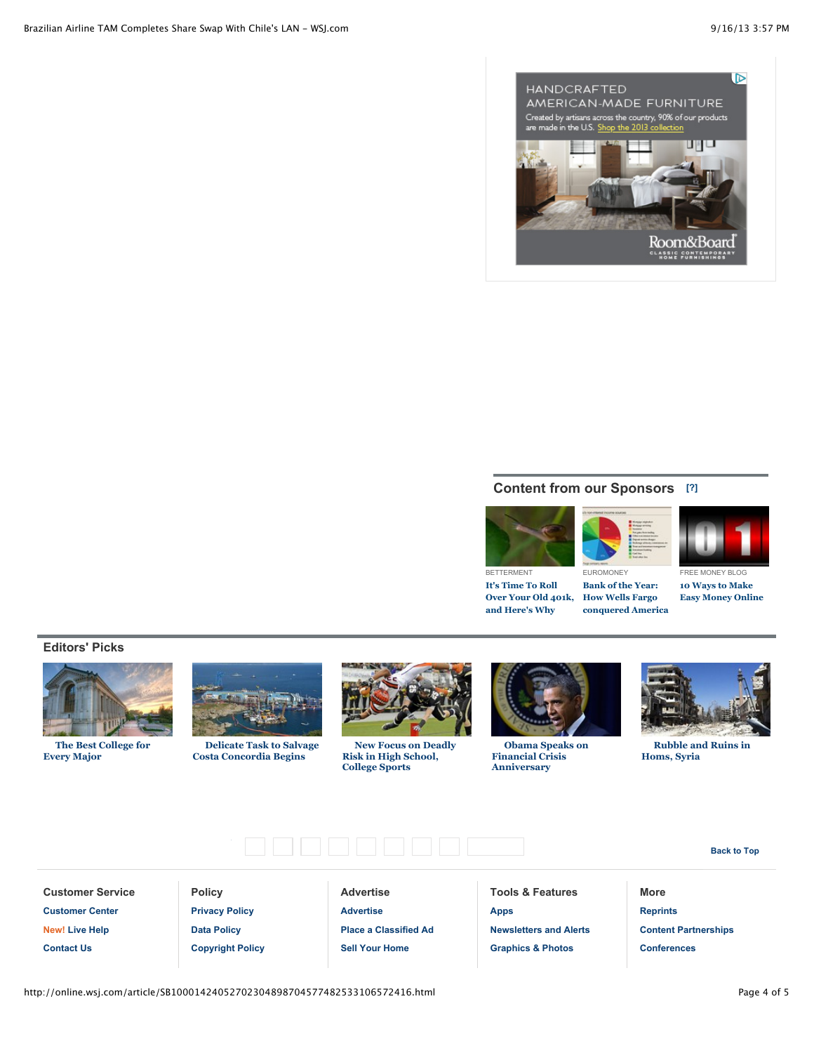

# **Content from our Sponsors [\[?\]](http://online.wsj.com/article/SB10001424052702304898704577482533106572416.html#)**

EUROMONEY **Bank of the Year: How Wells Fargo conquered America**



**It's Time To Roll Over Your Old 401k, and Here's Why**





FREE MONEY BLOG **10 Ways to Make Easy Money Online**

**Editors' Picks**



**[The Best College for](http://on.wsj.com/150yjYd?mod=WSJ_article_EditorsPicks) Every Major**



**[Delicate Task to Salvage](http://on.wsj.com/150k0CR?mod=WSJ_article_EditorsPicks) Costa Concordia Begins**



**[New Focus on Deadly](http://on.wsj.com/150xu1m?mod=WSJ_article_EditorsPicks) Risk in High School, College Sports**



**[Obama Speaks on](http://on.wsj.com/1eVVOZE?mod=WSJ_article_EditorsPicks) Financial Crisis Anniversary**



**[Rubble and Ruins in](http://on.wsj.com/14YsPx2?mod=WSJ_article_EditorsPicks) Homs, Syria**

**Back to Top**

**Customer Service [Customer Center](http://help.wsj.com/customer-service/?mod=WSJ_footer) [New! Live Help](http://online.wsj.com/article/SB10001424052702304898704577482533106572416.html#) [Contact Us](https://customercenter.wsj.com/view/contactus.html?mod=WSJ_footer)**

**Policy [Privacy Policy](http://online.wsj.com/public/page/privacy-policy.html?mod=WSJ_footer) [Data Policy](http://online.wsj.com/public/page/data-policy.html?mod=WSJ_footer) [Copyright Policy](http://online.wsj.com/public/page/copyright_policy.html?mod=WSJ_footer)**

**Advertise [Advertise](http://www.wsjdigital.com/?mod=WSJ_footer) [Place a Classified Ad](http://classifieds.wsj.com/?mod=WSJ_footer) [Sell Your Home](https://classifieds.wsj.com/ad/Residential-Real-Estate-Ads?mod=WSJ_footer)**

Wa[ll Stree](http://www.facebook.com/wsj)t [Journa](http://twitter.com/WSJ)l FacebookT[witter](http://www.linkedin.com/today/online.wsj.com) Li[nkedIn](https://foursquare.com/wsj)F[ourSqu](https://plus.google.com/117720626238470886461/posts)are [Go](http://online.wsj.com/article/SB10001424052702304898704577482533106572416.html#top)[ogle](http://www.youtube.com/user/WSJDigitalNetwork)[+Yo](http://online.wsj.com/article/SB10001424052702304898704577482533106572416.html#top)[uTub](http://online.wsj.com/public/page/podcast.html?mod=WSJ_footer)[ePo](http://online.wsj.com/article/SB10001424052702304898704577482533106572416.html#top)[dcas](http://online.wsj.com/public/page/rss_news_and_feeds.html?mod=WSJ_footer)[tsRS](http://online.wsj.com/article/SB10001424052702304898704577482533106572416.html#top)[S Feed](http://itunes.apple.com/us/app/the-wall-street-journal./id364387007?mt=8) AppStore

**Tools & Features [Apps](http://online.wsj.com/public/page/designtech-wsjModuleHome.html?mod=WSJ_footer) [Newsletters and Alerts](http://online.wsj.com/public/page/email-setup.html?mod=WSJ_footer) [Graphics & Photos](http://online.wsj.com/public/page/news-interactive-features-trends.html?mod=WSJ_footer)**

**More [Reprints](http://www.djreprints.com/?mod=WSJ_footer) [Content Partnerships](http://wsj.com/partner/?mod=WSJ_footer) [Conferences](http://online.wsj.com/conferences?mod=WSJ_footer)**